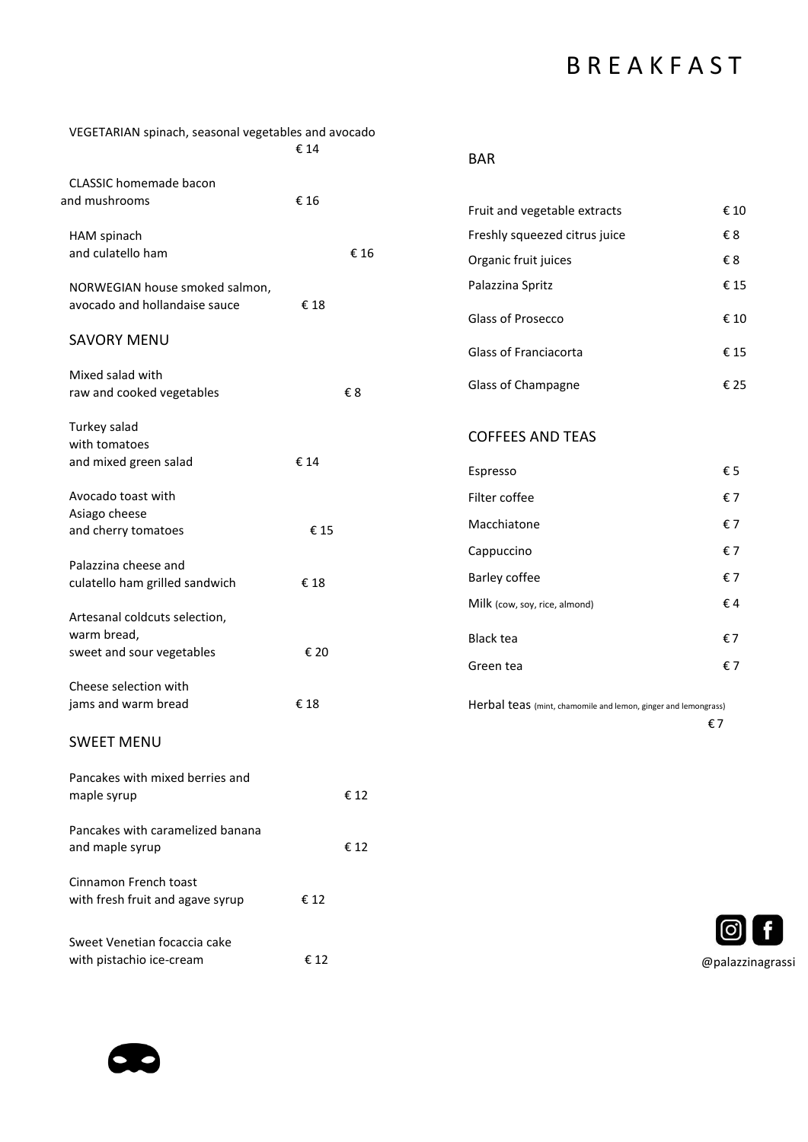# **B R E A K F A S T**

| VEGETARIAN spinach, seasonal vegetables and avocado      |      |                  |
|----------------------------------------------------------|------|------------------|
|                                                          | € 14 | <b>BAR</b>       |
| <b>CLASSIC</b> homemade bacon                            |      |                  |
| and mushrooms                                            | € 16 | Fruit and        |
| HAM spinach                                              |      | Freshly so       |
| and culatello ham                                        | € 16 | Organic f        |
| NORWEGIAN house smoked salmon,                           |      | Palazzina        |
| avocado and hollandaise sauce                            | €18  | Glass of F       |
| <b>SAVORY MENU</b>                                       |      |                  |
|                                                          |      | Glass of F       |
| Mixed salad with                                         |      | Glass of 0       |
| raw and cooked vegetables                                | €8   |                  |
| Turkey salad                                             |      | <b>COFFEE</b>    |
| with tomatoes                                            |      |                  |
| and mixed green salad                                    | € 14 | Espresso         |
| Avocado toast with                                       |      | Filter cof       |
| Asiago cheese                                            |      | Macchiat         |
| and cherry tomatoes                                      | €15  | Cappucci         |
| Palazzina cheese and                                     |      |                  |
| culatello ham grilled sandwich                           | €18  | Barley co        |
| Artesanal coldcuts selection,                            |      | Milk (cow,       |
| warm bread,                                              |      | <b>Black tea</b> |
| sweet and sour vegetables                                | € 20 | Green tea        |
| Cheese selection with                                    |      |                  |
| jams and warm bread                                      | €18  | Herbal te        |
| <b>SWEET MENU</b>                                        |      |                  |
| Pancakes with mixed berries and                          |      |                  |
| maple syrup                                              | € 12 |                  |
| Pancakes with caramelized banana                         |      |                  |
| and maple syrup                                          | € 12 |                  |
| Cinnamon French toast                                    |      |                  |
| with fresh fruit and agave syrup                         | €12  |                  |
|                                                          |      |                  |
| Sweet Venetian focaccia cake<br>with pistachio ice-cream | € 12 |                  |
|                                                          |      |                  |

| Fruit and vegetable extracts  | € 10 |
|-------------------------------|------|
| Freshly squeezed citrus juice | €8   |
| Organic fruit juices          | €8   |
| Palazzina Spritz              | € 15 |
| Glass of Prosecco             | € 10 |
| Glass of Franciacorta         | € 15 |
| Glass of Champagne            | € 25 |

#### **S AND TEAS**

| Espresso                      | €5   |
|-------------------------------|------|
| Filter coffee                 | €7   |
| Macchiatone                   | €7   |
| Cappuccino                    | €7   |
| Barley coffee                 | €7   |
| Milk (cow, soy, rice, almond) | f.4  |
| Black tea                     | €7   |
| Green tea                     | €. 7 |
|                               |      |

 $BAS$  (mint, chamomile and lemon, ginger and lemongrass) € 7